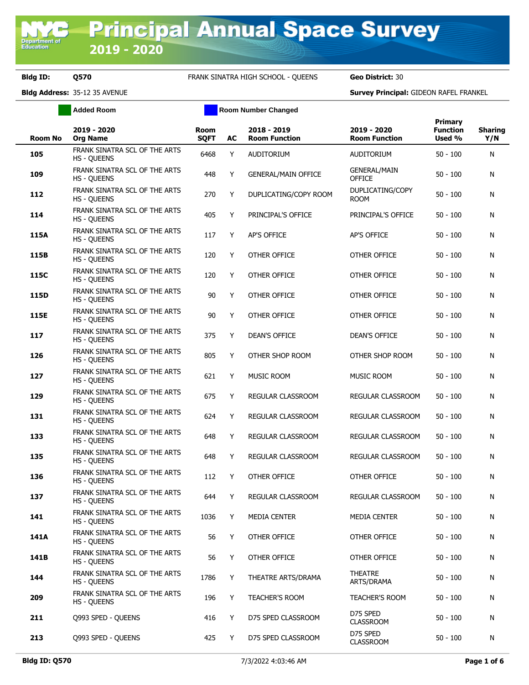Department o<br>Education

## **Bldg ID: Q570** FRANK SINATRA HIGH SCHOOL - QUEENS **Geo District:** 30

|                | <b>Added Room</b>                                   | <b>Room Number Changed</b> |    |                                     |                                      |                                      |                       |
|----------------|-----------------------------------------------------|----------------------------|----|-------------------------------------|--------------------------------------|--------------------------------------|-----------------------|
| <b>Room No</b> | 2019 - 2020<br><b>Org Name</b>                      | <b>Room</b><br><b>SQFT</b> | AC | 2018 - 2019<br><b>Room Function</b> | 2019 - 2020<br><b>Room Function</b>  | Primary<br><b>Function</b><br>Used % | <b>Sharing</b><br>Y/N |
| 105            | FRANK SINATRA SCL OF THE ARTS<br><b>HS - QUEENS</b> | 6468                       | Y  | AUDITORIUM                          | AUDITORIUM                           | $50 - 100$                           | N                     |
| 109            | FRANK SINATRA SCL OF THE ARTS<br><b>HS - QUEENS</b> | 448                        | Υ  | <b>GENERAL/MAIN OFFICE</b>          | <b>GENERAL/MAIN</b><br><b>OFFICE</b> | $50 - 100$                           | N                     |
| 112            | FRANK SINATRA SCL OF THE ARTS<br>HS - QUEENS        | 270                        | Y  | DUPLICATING/COPY ROOM               | DUPLICATING/COPY<br><b>ROOM</b>      | $50 - 100$                           | N                     |
| 114            | FRANK SINATRA SCL OF THE ARTS<br>HS - QUEENS        | 405                        | Y  | PRINCIPAL'S OFFICE                  | PRINCIPAL'S OFFICE                   | $50 - 100$                           | N                     |
| 115A           | FRANK SINATRA SCL OF THE ARTS<br>HS - QUEENS        | 117                        | Y  | <b>AP'S OFFICE</b>                  | AP'S OFFICE                          | $50 - 100$                           | N                     |
| 115B           | FRANK SINATRA SCL OF THE ARTS<br><b>HS - QUEENS</b> | 120                        | Y  | OTHER OFFICE                        | OTHER OFFICE                         | $50 - 100$                           | N                     |
| 115C           | FRANK SINATRA SCL OF THE ARTS<br><b>HS - QUEENS</b> | 120                        | Y  | OTHER OFFICE                        | OTHER OFFICE                         | $50 - 100$                           | N                     |
| 115D           | FRANK SINATRA SCL OF THE ARTS<br>HS - QUEENS        | 90                         | Y  | OTHER OFFICE                        | OTHER OFFICE                         | $50 - 100$                           | N                     |
| 115E           | FRANK SINATRA SCL OF THE ARTS<br><b>HS - QUEENS</b> | 90                         | Y  | OTHER OFFICE                        | OTHER OFFICE                         | $50 - 100$                           | N                     |
| 117            | FRANK SINATRA SCL OF THE ARTS<br><b>HS - QUEENS</b> | 375                        | Y  | <b>DEAN'S OFFICE</b>                | <b>DEAN'S OFFICE</b>                 | $50 - 100$                           | N                     |
| 126            | FRANK SINATRA SCL OF THE ARTS<br><b>HS - QUEENS</b> | 805                        | Y  | OTHER SHOP ROOM                     | OTHER SHOP ROOM                      | $50 - 100$                           | N                     |
| 127            | FRANK SINATRA SCL OF THE ARTS<br><b>HS - QUEENS</b> | 621                        | Y  | <b>MUSIC ROOM</b>                   | <b>MUSIC ROOM</b>                    | $50 - 100$                           | N                     |
| 129            | FRANK SINATRA SCL OF THE ARTS<br><b>HS - QUEENS</b> | 675                        | Y  | REGULAR CLASSROOM                   | REGULAR CLASSROOM                    | $50 - 100$                           | N                     |
| 131            | FRANK SINATRA SCL OF THE ARTS<br><b>HS - QUEENS</b> | 624                        | Υ  | REGULAR CLASSROOM                   | REGULAR CLASSROOM                    | $50 - 100$                           | N                     |
| 133            | FRANK SINATRA SCL OF THE ARTS<br><b>HS - QUEENS</b> | 648                        | Y  | REGULAR CLASSROOM                   | REGULAR CLASSROOM                    | $50 - 100$                           | N                     |
| 135            | FRANK SINATRA SCL OF THE ARTS<br>HS - QUEENS        | 648                        | Υ  | REGULAR CLASSROOM                   | REGULAR CLASSROOM                    | $50 - 100$                           | N                     |
| 136            | FRANK SINATRA SCL OF THE ARTS<br><b>HS - QUEENS</b> | 112                        | Y  | OTHER OFFICE                        | <b>OTHER OFFICE</b>                  | $50 - 100$                           | N                     |
| 137            | FRANK SINATRA SCL OF THE ARTS<br><b>HS - QUEENS</b> | 644                        | Υ  | REGULAR CLASSROOM                   | REGULAR CLASSROOM                    | $50 - 100$                           | N                     |
| 141            | FRANK SINATRA SCL OF THE ARTS<br><b>HS - OUEENS</b> | 1036                       | Y  | <b>MEDIA CENTER</b>                 | MEDIA CENTER                         | $50 - 100$                           | N                     |
| 141A           | FRANK SINATRA SCL OF THE ARTS<br><b>HS - OUEENS</b> | 56                         | Y  | OTHER OFFICE                        | OTHER OFFICE                         | $50 - 100$                           | N                     |
| 141B           | FRANK SINATRA SCL OF THE ARTS<br><b>HS - QUEENS</b> | 56                         | Y  | OTHER OFFICE                        | OTHER OFFICE                         | $50 - 100$                           | N                     |
| 144            | FRANK SINATRA SCL OF THE ARTS<br><b>HS - OUEENS</b> | 1786                       | Y  | THEATRE ARTS/DRAMA                  | <b>THEATRE</b><br>ARTS/DRAMA         | $50 - 100$                           | N                     |
| 209            | FRANK SINATRA SCL OF THE ARTS<br><b>HS - QUEENS</b> | 196                        | Y  | TEACHER'S ROOM                      | <b>TEACHER'S ROOM</b>                | $50 - 100$                           | N                     |
| 211            | 0993 SPED - QUEENS                                  | 416                        | Y  | D75 SPED CLASSROOM                  | D75 SPED<br><b>CLASSROOM</b>         | $50 - 100$                           | N                     |
| 213            | Q993 SPED - QUEENS                                  | 425                        | Y  | D75 SPED CLASSROOM                  | D75 SPED<br><b>CLASSROOM</b>         | $50 - 100$                           | N                     |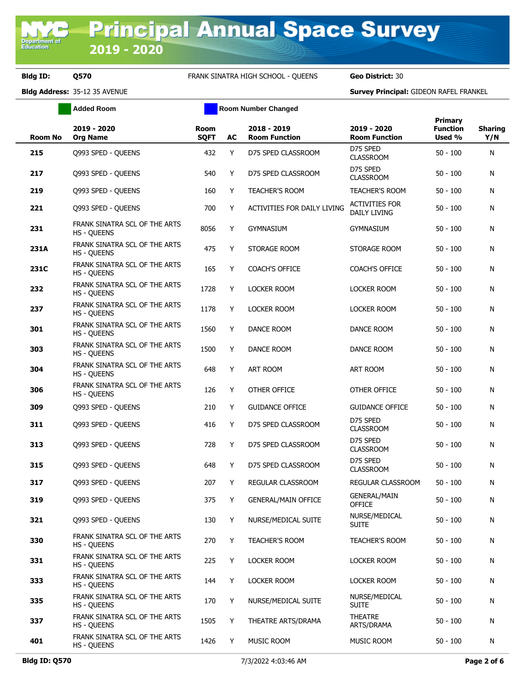**Bldg ID: Q570** FRANK SINATRA HIGH SCHOOL - QUEENS **Geo District:** 30

**Added Room Room Room Number Changed** 

| Room No | 2019 - 2020<br><b>Org Name</b>                      | <b>Room</b><br><b>SQFT</b> | AC | 2018 - 2019<br><b>Room Function</b> | 2019 - 2020<br><b>Room Function</b>   | Primary<br><b>Function</b><br>Used % | <b>Sharing</b><br>Y/N |
|---------|-----------------------------------------------------|----------------------------|----|-------------------------------------|---------------------------------------|--------------------------------------|-----------------------|
| 215     | Q993 SPED - QUEENS                                  | 432                        | Y  | D75 SPED CLASSROOM                  | D75 SPED<br><b>CLASSROOM</b>          | $50 - 100$                           | N                     |
| 217     | Q993 SPED - QUEENS                                  | 540                        | Y  | D75 SPED CLASSROOM                  | D75 SPED<br><b>CLASSROOM</b>          | $50 - 100$                           | N                     |
| 219     | Q993 SPED - QUEENS                                  | 160                        | Y  | TEACHER'S ROOM                      | <b>TEACHER'S ROOM</b>                 | $50 - 100$                           | N                     |
| 221     | Q993 SPED - QUEENS                                  | 700                        | Y  | <b>ACTIVITIES FOR DAILY LIVING</b>  | ACTIVITIES FOR<br><b>DAILY LIVING</b> | $50 - 100$                           | N                     |
| 231     | FRANK SINATRA SCL OF THE ARTS<br><b>HS - OUEENS</b> | 8056                       | Y  | <b>GYMNASIUM</b>                    | <b>GYMNASIUM</b>                      | $50 - 100$                           | N                     |
| 231A    | FRANK SINATRA SCL OF THE ARTS<br><b>HS - QUEENS</b> | 475                        | Y  | STORAGE ROOM                        | STORAGE ROOM                          | $50 - 100$                           | N                     |
| 231C    | FRANK SINATRA SCL OF THE ARTS<br><b>HS - QUEENS</b> | 165                        | Y  | <b>COACH'S OFFICE</b>               | <b>COACH'S OFFICE</b>                 | $50 - 100$                           | N                     |
| 232     | FRANK SINATRA SCL OF THE ARTS<br><b>HS - QUEENS</b> | 1728                       | Y  | <b>LOCKER ROOM</b>                  | <b>LOCKER ROOM</b>                    | $50 - 100$                           | N                     |
| 237     | FRANK SINATRA SCL OF THE ARTS<br><b>HS - OUEENS</b> | 1178                       | Y  | <b>LOCKER ROOM</b>                  | <b>LOCKER ROOM</b>                    | $50 - 100$                           | N                     |
| 301     | FRANK SINATRA SCL OF THE ARTS<br><b>HS - OUEENS</b> | 1560                       | Y  | DANCE ROOM                          | DANCE ROOM                            | $50 - 100$                           | N                     |
| 303     | FRANK SINATRA SCL OF THE ARTS<br><b>HS - QUEENS</b> | 1500                       | Y  | DANCE ROOM                          | DANCE ROOM                            | $50 - 100$                           | N                     |
| 304     | FRANK SINATRA SCL OF THE ARTS<br><b>HS - QUEENS</b> | 648                        | Y  | <b>ART ROOM</b>                     | ART ROOM                              | $50 - 100$                           | N                     |
| 306     | FRANK SINATRA SCL OF THE ARTS<br><b>HS - QUEENS</b> | 126                        | Y  | OTHER OFFICE                        | OTHER OFFICE                          | $50 - 100$                           | N                     |
| 309     | Q993 SPED - QUEENS                                  | 210                        | Y  | <b>GUIDANCE OFFICE</b>              | <b>GUIDANCE OFFICE</b>                | $50 - 100$                           | N                     |
| 311     | Q993 SPED - QUEENS                                  | 416                        | Y  | D75 SPED CLASSROOM                  | D75 SPED<br><b>CLASSROOM</b>          | $50 - 100$                           | N                     |
| 313     | Q993 SPED - QUEENS                                  | 728                        | Y  | D75 SPED CLASSROOM                  | D75 SPED<br><b>CLASSROOM</b>          | $50 - 100$                           | N                     |
| 315     | Q993 SPED - QUEENS                                  | 648                        | Y  | D75 SPED CLASSROOM                  | D75 SPED<br><b>CLASSROOM</b>          | $50 - 100$                           | N                     |
| 317     | Q993 SPED - QUEENS                                  | 207                        | Y  | REGULAR CLASSROOM                   | REGULAR CLASSROOM                     | $50 - 100$                           | N                     |
| 319     | Q993 SPED - QUEENS                                  | 375                        | Y  | <b>GENERAL/MAIN OFFICE</b>          | <b>GENERAL/MAIN</b><br>OFFICE         | $50 - 100$                           | N                     |
| 321     | Q993 SPED - QUEENS                                  | 130                        | Y  | NURSE/MEDICAL SUITE                 | NURSE/MEDICAL<br><b>SUITE</b>         | $50 - 100$                           | N                     |
| 330     | FRANK SINATRA SCL OF THE ARTS<br><b>HS - QUEENS</b> | 270                        | Y  | TEACHER'S ROOM                      | TEACHER'S ROOM                        | $50 - 100$                           | N                     |
| 331     | FRANK SINATRA SCL OF THE ARTS<br><b>HS - QUEENS</b> | 225                        | Y  | LOCKER ROOM                         | LOCKER ROOM                           | $50 - 100$                           | N                     |
| 333     | FRANK SINATRA SCL OF THE ARTS<br><b>HS - QUEENS</b> | 144                        | Y  | <b>LOCKER ROOM</b>                  | LOCKER ROOM                           | $50 - 100$                           | N                     |
| 335     | FRANK SINATRA SCL OF THE ARTS<br><b>HS - QUEENS</b> | 170                        | Y  | NURSE/MEDICAL SUITE                 | NURSE/MEDICAL<br><b>SUITE</b>         | $50 - 100$                           | N                     |
| 337     | FRANK SINATRA SCL OF THE ARTS<br><b>HS - QUEENS</b> | 1505                       | Y  | THEATRE ARTS/DRAMA                  | THEATRE<br>ARTS/DRAMA                 | $50 - 100$                           | N                     |
| 401     | FRANK SINATRA SCL OF THE ARTS<br><b>HS - QUEENS</b> | 1426                       | Y  | MUSIC ROOM                          | MUSIC ROOM                            | $50 - 100$                           | N                     |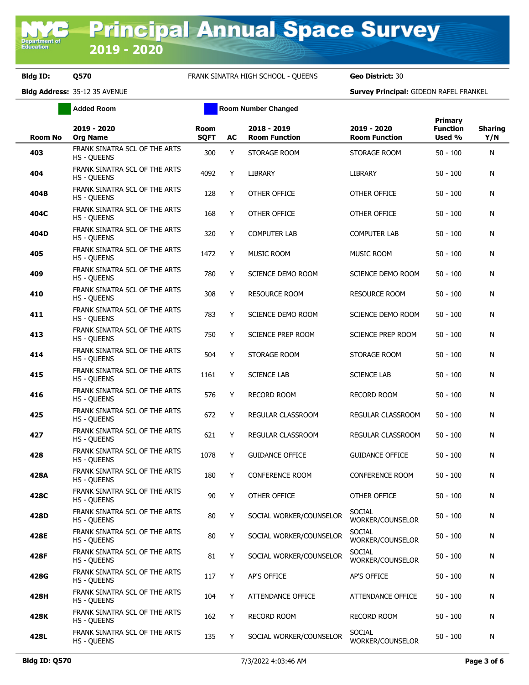**Bldg ID: Q570** FRANK SINATRA HIGH SCHOOL - QUEENS **Geo District:** 30

**Added Room Room Room Number Changed** 

| <b>Room No</b> | 2019 - 2020<br><b>Org Name</b>                      | <b>Room</b><br><b>SQFT</b> | AC | 2018 - 2019<br><b>Room Function</b> | 2019 - 2020<br><b>Room Function</b> | Primary<br><b>Function</b><br>Used % | <b>Sharing</b><br>Y/N |
|----------------|-----------------------------------------------------|----------------------------|----|-------------------------------------|-------------------------------------|--------------------------------------|-----------------------|
| 403            | FRANK SINATRA SCL OF THE ARTS<br><b>HS - QUEENS</b> | 300                        | Y  | STORAGE ROOM                        | STORAGE ROOM                        | $50 - 100$                           | Ν                     |
| 404            | FRANK SINATRA SCL OF THE ARTS<br><b>HS - QUEENS</b> | 4092                       | Y  | LIBRARY                             | <b>LIBRARY</b>                      | $50 - 100$                           | Ν                     |
| 404B           | FRANK SINATRA SCL OF THE ARTS<br><b>HS - QUEENS</b> | 128                        | Y  | OTHER OFFICE                        | OTHER OFFICE                        | $50 - 100$                           | Ν                     |
| 404C           | FRANK SINATRA SCL OF THE ARTS<br><b>HS - QUEENS</b> | 168                        | Y  | OTHER OFFICE                        | OTHER OFFICE                        | $50 - 100$                           | Ν                     |
| 404D           | FRANK SINATRA SCL OF THE ARTS<br><b>HS - QUEENS</b> | 320                        | Y  | <b>COMPUTER LAB</b>                 | <b>COMPUTER LAB</b>                 | $50 - 100$                           | Ν                     |
| 405            | FRANK SINATRA SCL OF THE ARTS<br><b>HS - QUEENS</b> | 1472                       | Y  | <b>MUSIC ROOM</b>                   | <b>MUSIC ROOM</b>                   | $50 - 100$                           | Ν                     |
| 409            | FRANK SINATRA SCL OF THE ARTS<br><b>HS - QUEENS</b> | 780                        | Y  | SCIENCE DEMO ROOM                   | SCIENCE DEMO ROOM                   | $50 - 100$                           | Ν                     |
| 410            | FRANK SINATRA SCL OF THE ARTS<br><b>HS - QUEENS</b> | 308                        | Y  | <b>RESOURCE ROOM</b>                | <b>RESOURCE ROOM</b>                | $50 - 100$                           | Ν                     |
| 411            | FRANK SINATRA SCL OF THE ARTS<br><b>HS - QUEENS</b> | 783                        | Y  | SCIENCE DEMO ROOM                   | SCIENCE DEMO ROOM                   | $50 - 100$                           | Ν                     |
| 413            | FRANK SINATRA SCL OF THE ARTS<br><b>HS - QUEENS</b> | 750                        | Y  | <b>SCIENCE PREP ROOM</b>            | SCIENCE PREP ROOM                   | $50 - 100$                           | Ν                     |
| 414            | FRANK SINATRA SCL OF THE ARTS<br><b>HS - OUEENS</b> | 504                        | Y  | STORAGE ROOM                        | STORAGE ROOM                        | $50 - 100$                           | Ν                     |
| 415            | FRANK SINATRA SCL OF THE ARTS<br><b>HS - QUEENS</b> | 1161                       | Y  | <b>SCIENCE LAB</b>                  | <b>SCIENCE LAB</b>                  | $50 - 100$                           | Ν                     |
| 416            | FRANK SINATRA SCL OF THE ARTS<br><b>HS - QUEENS</b> | 576                        | Y  | <b>RECORD ROOM</b>                  | <b>RECORD ROOM</b>                  | $50 - 100$                           | Ν                     |
| 425            | FRANK SINATRA SCL OF THE ARTS<br><b>HS - QUEENS</b> | 672                        | Y  | REGULAR CLASSROOM                   | REGULAR CLASSROOM                   | $50 - 100$                           | Ν                     |
| 427            | FRANK SINATRA SCL OF THE ARTS<br><b>HS - QUEENS</b> | 621                        | Y  | REGULAR CLASSROOM                   | REGULAR CLASSROOM                   | $50 - 100$                           | Ν                     |
| 428            | FRANK SINATRA SCL OF THE ARTS<br><b>HS - QUEENS</b> | 1078                       | Y  | <b>GUIDANCE OFFICE</b>              | <b>GUIDANCE OFFICE</b>              | $50 - 100$                           | Ν                     |
| 428A           | FRANK SINATRA SCL OF THE ARTS<br><b>HS - QUEENS</b> | 180                        | Y  | <b>CONFERENCE ROOM</b>              | <b>CONFERENCE ROOM</b>              | $50 - 100$                           | Ν                     |
| 428C           | FRANK SINATRA SCL OF THE ARTS<br><b>HS - QUEENS</b> | 90                         | Y  | OTHER OFFICE                        | OTHER OFFICE                        | $50 - 100$                           | Ν                     |
| 428D           | FRANK SINATRA SCL OF THE ARTS<br><b>HS - QUEENS</b> | 80                         | Y  | SOCIAL WORKER/COUNSELOR             | <b>SOCIAL</b><br>WORKER/COUNSELOR   | $50 - 100$                           | Ν                     |
| 428E           | FRANK SINATRA SCL OF THE ARTS<br><b>HS - QUEENS</b> | 80                         | Y  | SOCIAL WORKER/COUNSELOR             | <b>SOCIAL</b><br>WORKER/COUNSELOR   | $50 - 100$                           | N                     |
| 428F           | FRANK SINATRA SCL OF THE ARTS<br><b>HS - QUEENS</b> | 81                         | Y  | SOCIAL WORKER/COUNSELOR             | <b>SOCIAL</b><br>WORKER/COUNSELOR   | $50 - 100$                           | Ν                     |
| 428G           | FRANK SINATRA SCL OF THE ARTS<br>HS - QUEENS        | 117                        | Y  | AP'S OFFICE                         | AP'S OFFICE                         | $50 - 100$                           | N                     |
| 428H           | FRANK SINATRA SCL OF THE ARTS<br><b>HS - QUEENS</b> | 104                        | Y  | ATTENDANCE OFFICE                   | ATTENDANCE OFFICE                   | $50 - 100$                           | N                     |
| 428K           | FRANK SINATRA SCL OF THE ARTS<br>HS - QUEENS        | 162                        | Y  | <b>RECORD ROOM</b>                  | <b>RECORD ROOM</b>                  | $50 - 100$                           | N                     |
| 428L           | FRANK SINATRA SCL OF THE ARTS<br><b>HS - QUEENS</b> | 135                        | Y  | SOCIAL WORKER/COUNSELOR             | SOCIAL<br>WORKER/COUNSELOR          | $50 - 100$                           | N                     |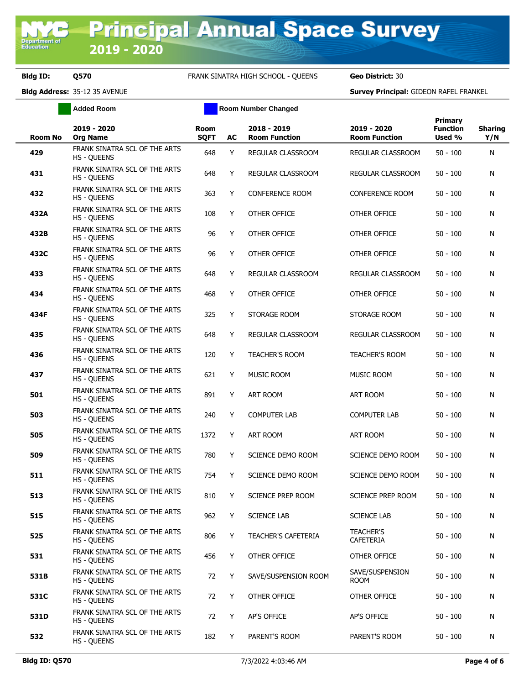**Bldg ID: Q570** FRANK SINATRA HIGH SCHOOL - QUEENS **Geo District:** 30

**Added Room Room Room Number Changed** 

| <b>Room No</b> | 2019 - 2020<br><b>Org Name</b>                      | <b>Room</b><br><b>SQFT</b> | AC | 2018 - 2019<br><b>Room Function</b> | 2019 - 2020<br><b>Room Function</b> | <b>Primary</b><br><b>Function</b><br>Used % | <b>Sharing</b><br>Y/N |
|----------------|-----------------------------------------------------|----------------------------|----|-------------------------------------|-------------------------------------|---------------------------------------------|-----------------------|
| 429            | FRANK SINATRA SCL OF THE ARTS<br>HS - QUEENS        | 648                        | Y  | REGULAR CLASSROOM                   | REGULAR CLASSROOM                   | $50 - 100$                                  | Ν                     |
| 431            | FRANK SINATRA SCL OF THE ARTS<br><b>HS - QUEENS</b> | 648                        | Υ  | REGULAR CLASSROOM                   | REGULAR CLASSROOM                   | $50 - 100$                                  | Ν                     |
| 432            | FRANK SINATRA SCL OF THE ARTS<br><b>HS - QUEENS</b> | 363                        | Y  | <b>CONFERENCE ROOM</b>              | <b>CONFERENCE ROOM</b>              | $50 - 100$                                  | Ν                     |
| 432A           | FRANK SINATRA SCL OF THE ARTS<br><b>HS - QUEENS</b> | 108                        | Υ  | OTHER OFFICE                        | OTHER OFFICE                        | $50 - 100$                                  | Ν                     |
| 432B           | FRANK SINATRA SCL OF THE ARTS<br><b>HS - QUEENS</b> | 96                         | Υ  | OTHER OFFICE                        | OTHER OFFICE                        | $50 - 100$                                  | Ν                     |
| 432C           | FRANK SINATRA SCL OF THE ARTS<br><b>HS - QUEENS</b> | 96                         | Y  | OTHER OFFICE                        | OTHER OFFICE                        | $50 - 100$                                  | N                     |
| 433            | FRANK SINATRA SCL OF THE ARTS<br><b>HS - QUEENS</b> | 648                        | Y  | REGULAR CLASSROOM                   | REGULAR CLASSROOM                   | $50 - 100$                                  | Ν                     |
| 434            | FRANK SINATRA SCL OF THE ARTS<br><b>HS - QUEENS</b> | 468                        | Y  | <b>OTHER OFFICE</b>                 | OTHER OFFICE                        | $50 - 100$                                  | Ν                     |
| 434F           | FRANK SINATRA SCL OF THE ARTS<br><b>HS - OUEENS</b> | 325                        | Y  | STORAGE ROOM                        | STORAGE ROOM                        | $50 - 100$                                  | Ν                     |
| 435            | FRANK SINATRA SCL OF THE ARTS<br><b>HS - QUEENS</b> | 648                        | Y  | <b>REGULAR CLASSROOM</b>            | REGULAR CLASSROOM                   | $50 - 100$                                  | Ν                     |
| 436            | FRANK SINATRA SCL OF THE ARTS<br><b>HS - QUEENS</b> | 120                        | Y  | <b>TEACHER'S ROOM</b>               | <b>TEACHER'S ROOM</b>               | $50 - 100$                                  | Ν                     |
| 437            | FRANK SINATRA SCL OF THE ARTS<br><b>HS - QUEENS</b> | 621                        | Y  | <b>MUSIC ROOM</b>                   | <b>MUSIC ROOM</b>                   | $50 - 100$                                  | Ν                     |
| 501            | FRANK SINATRA SCL OF THE ARTS<br><b>HS - QUEENS</b> | 891                        | Y  | <b>ART ROOM</b>                     | ART ROOM                            | $50 - 100$                                  | Ν                     |
| 503            | FRANK SINATRA SCL OF THE ARTS<br><b>HS - QUEENS</b> | 240                        | Y  | <b>COMPUTER LAB</b>                 | <b>COMPUTER LAB</b>                 | $50 - 100$                                  | Ν                     |
| 505            | FRANK SINATRA SCL OF THE ARTS<br><b>HS - QUEENS</b> | 1372                       | Y  | <b>ART ROOM</b>                     | ART ROOM                            | $50 - 100$                                  | Ν                     |
| 509            | FRANK SINATRA SCL OF THE ARTS<br><b>HS - QUEENS</b> | 780                        | Y  | SCIENCE DEMO ROOM                   | SCIENCE DEMO ROOM                   | $50 - 100$                                  | Ν                     |
| 511            | FRANK SINATRA SCL OF THE ARTS<br><b>HS - QUEENS</b> | 754                        | Y  | SCIENCE DEMO ROOM                   | SCIENCE DEMO ROOM                   | $50 - 100$                                  | Ν                     |
| 513            | FRANK SINATRA SCL OF THE ARTS<br><b>HS - QUEENS</b> | 810                        | Y  | <b>SCIENCE PREP ROOM</b>            | SCIENCE PREP ROOM                   | $50 - 100$                                  | N                     |
| 515            | FRANK SINATRA SCL OF THE ARTS<br><b>HS - OUEENS</b> | 962                        | Y  | <b>SCIENCE LAB</b>                  | <b>SCIENCE LAB</b>                  | $50 - 100$                                  | Ν                     |
| 525            | FRANK SINATRA SCL OF THE ARTS<br><b>HS - QUEENS</b> | 806                        | Y  | <b>TEACHER'S CAFETERIA</b>          | <b>TEACHER'S</b><br>CAFETERIA       | $50 - 100$                                  | N                     |
| 531            | FRANK SINATRA SCL OF THE ARTS<br><b>HS - QUEENS</b> | 456                        | Y  | OTHER OFFICE                        | OTHER OFFICE                        | $50 - 100$                                  | N                     |
| 531B           | FRANK SINATRA SCL OF THE ARTS<br><b>HS - QUEENS</b> | 72                         | Y  | SAVE/SUSPENSION ROOM                | SAVE/SUSPENSION<br><b>ROOM</b>      | $50 - 100$                                  | N                     |
| 531C           | FRANK SINATRA SCL OF THE ARTS<br><b>HS - QUEENS</b> | 72                         | Y  | OTHER OFFICE                        | OTHER OFFICE                        | $50 - 100$                                  | N                     |
| 531D           | FRANK SINATRA SCL OF THE ARTS<br><b>HS - QUEENS</b> | 72                         | Y  | AP'S OFFICE                         | AP'S OFFICE                         | $50 - 100$                                  | N                     |
| 532            | FRANK SINATRA SCL OF THE ARTS<br><b>HS - QUEENS</b> | 182                        | Y  | PARENT'S ROOM                       | PARENT'S ROOM                       | $50 - 100$                                  | N                     |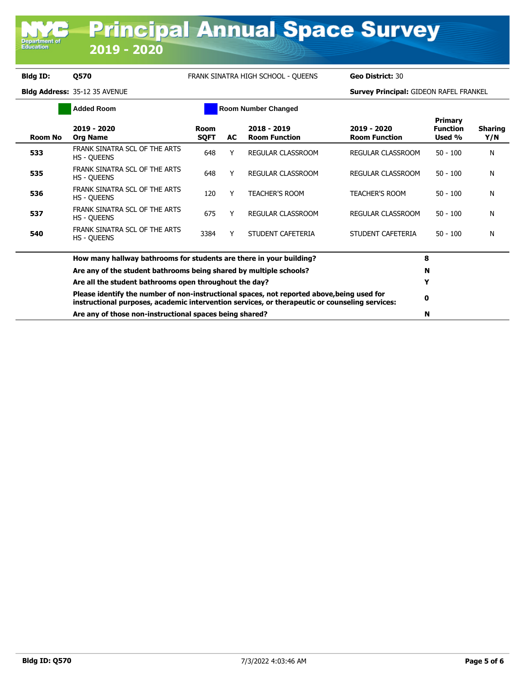Department<br>Education

**Bldg ID: Q570** FRANK SINATRA HIGH SCHOOL - QUEENS **Geo District:** 30

| <b>Added Room</b> |                                                                                                                                                                                              | <b>Room Number Changed</b> |     |                                     |                                     |                                             |                       |
|-------------------|----------------------------------------------------------------------------------------------------------------------------------------------------------------------------------------------|----------------------------|-----|-------------------------------------|-------------------------------------|---------------------------------------------|-----------------------|
| Room No           | 2019 - 2020<br><b>Org Name</b>                                                                                                                                                               | Room<br><b>SQFT</b>        | AC. | 2018 - 2019<br><b>Room Function</b> | 2019 - 2020<br><b>Room Function</b> | <b>Primary</b><br><b>Function</b><br>Used % | <b>Sharing</b><br>Y/N |
| 533               | FRANK SINATRA SCL OF THE ARTS<br><b>HS - QUEENS</b>                                                                                                                                          | 648                        | Y   | <b>REGULAR CLASSROOM</b>            | REGULAR CLASSROOM                   | $50 - 100$                                  | N                     |
| 535               | FRANK SINATRA SCL OF THE ARTS<br><b>HS - QUEENS</b>                                                                                                                                          | 648                        |     | <b>REGULAR CLASSROOM</b>            | REGULAR CLASSROOM                   | $50 - 100$                                  | N                     |
| 536               | FRANK SINATRA SCL OF THE ARTS<br><b>HS - QUEENS</b>                                                                                                                                          | 120                        |     | <b>TEACHER'S ROOM</b>               | <b>TEACHER'S ROOM</b>               | $50 - 100$                                  | N                     |
| 537               | FRANK SINATRA SCL OF THE ARTS<br><b>HS - QUEENS</b>                                                                                                                                          | 675                        | Y   | <b>REGULAR CLASSROOM</b>            | REGULAR CLASSROOM                   | $50 - 100$                                  | N                     |
| 540               | FRANK SINATRA SCL OF THE ARTS<br><b>HS - QUEENS</b>                                                                                                                                          | 3384                       |     | STUDENT CAFETERIA                   | STUDENT CAFETERIA                   | $50 - 100$                                  | N                     |
|                   | How many hallway bathrooms for students are there in your building?                                                                                                                          |                            |     |                                     |                                     |                                             |                       |
|                   | Are any of the student bathrooms being shared by multiple schools?                                                                                                                           |                            |     |                                     |                                     | N                                           |                       |
|                   | Are all the student bathrooms open throughout the day?                                                                                                                                       |                            | Y   |                                     |                                     |                                             |                       |
|                   | Please identify the number of non-instructional spaces, not reported above, being used for<br>instructional purposes, academic intervention services, or therapeutic or counseling services: |                            | 0   |                                     |                                     |                                             |                       |
|                   | Are any of those non-instructional spaces being shared?                                                                                                                                      |                            |     |                                     |                                     |                                             |                       |